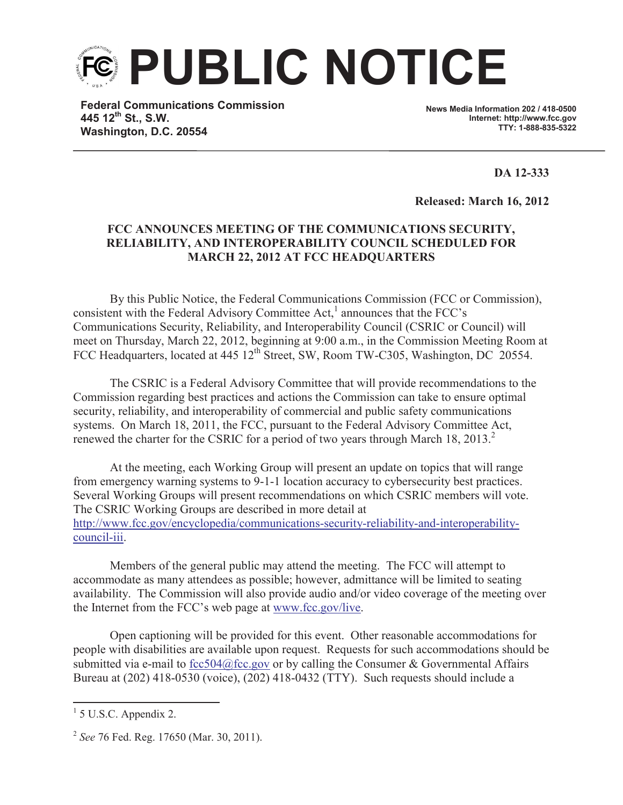

**Federal Communications Commission 445 12th St., S.W. Washington, D.C. 20554**

**News Media Information 202 / 418-0500 Internet: http://www.fcc.gov TTY: 1-888-835-5322**

**DA 12-333**

**Released: March 16, 2012**

## **FCC ANNOUNCES MEETING OF THE COMMUNICATIONS SECURITY, RELIABILITY, AND INTEROPERABILITY COUNCIL SCHEDULED FOR MARCH 22, 2012 AT FCC HEADQUARTERS**

By this Public Notice, the Federal Communications Commission (FCC or Commission), consistent with the Federal Advisory Committee Act, $<sup>1</sup>$  announces that the FCC's</sup> Communications Security, Reliability, and Interoperability Council (CSRIC or Council) will meet on Thursday, March 22, 2012, beginning at 9:00 a.m., in the Commission Meeting Room at FCC Headquarters, located at 445 12<sup>th</sup> Street, SW, Room TW-C305, Washington, DC 20554.

The CSRIC is a Federal Advisory Committee that will provide recommendations to the Commission regarding best practices and actions the Commission can take to ensure optimal security, reliability, and interoperability of commercial and public safety communications systems. On March 18, 2011, the FCC, pursuant to the Federal Advisory Committee Act, renewed the charter for the CSRIC for a period of two years through March 18, 2013.<sup>2</sup>

At the meeting, each Working Group will present an update on topics that will range from emergency warning systems to 9-1-1 location accuracy to cybersecurity best practices. Several Working Groups will present recommendations on which CSRIC members will vote. The CSRIC Working Groups are described in more detail at http://www.fcc.gov/encyclopedia/communications-security-reliability-and-interoperabilitycouncil-iii.

Members of the general public may attend the meeting. The FCC will attempt to accommodate as many attendees as possible; however, admittance will be limited to seating availability. The Commission will also provide audio and/or video coverage of the meeting over the Internet from the FCC's web page at www.fcc.gov/live.

Open captioning will be provided for this event. Other reasonable accommodations for people with disabilities are available upon request. Requests for such accommodations should be submitted via e-mail to fcc504@fcc.gov or by calling the Consumer & Governmental Affairs Bureau at (202) 418-0530 (voice), (202) 418-0432 (TTY). Such requests should include a

 $<sup>1</sup>$  5 U.S.C. Appendix 2.</sup>

<sup>2</sup> *See* 76 Fed. Reg. 17650 (Mar. 30, 2011).